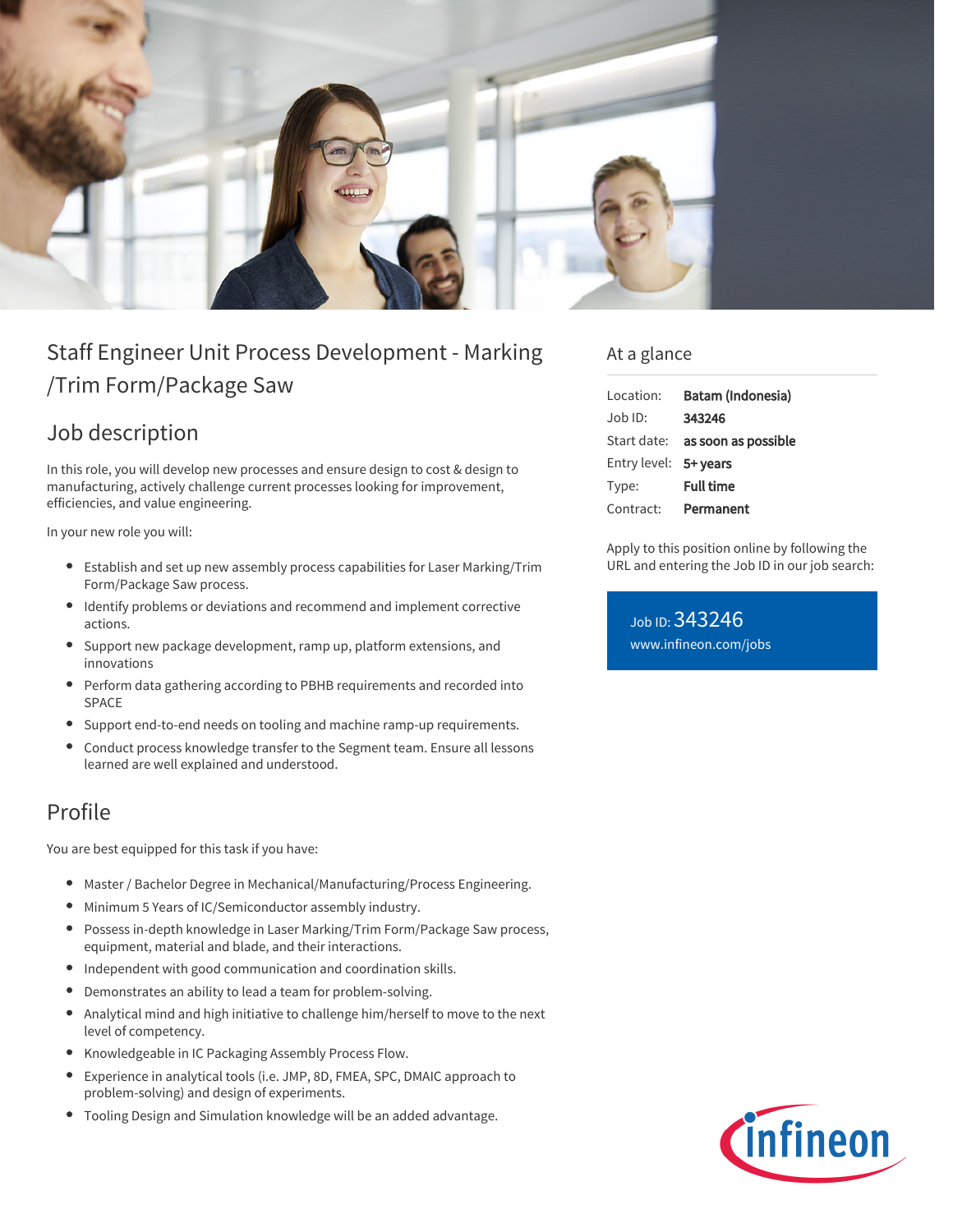

# Staff Engineer Unit Process Development - Marking /Trim Form/Package Saw

## Job description

In this role, you will develop new processes and ensure design to cost & design to manufacturing, actively challenge current processes looking for improvement, efficiencies, and value engineering.

In your new role you will:

- Establish and set up new assembly process capabilities for Laser Marking/Trim Form/Package Saw process.
- Identify problems or deviations and recommend and implement corrective actions.
- Support new package development, ramp up, platform extensions, and innovations
- Perform data gathering according to PBHB requirements and recorded into SPACE
- Support end-to-end needs on tooling and machine ramp-up requirements.
- Conduct process knowledge transfer to the Segment team. Ensure all lessons  $\bullet$ learned are well explained and understood.

### Profile

You are best equipped for this task if you have:

- Master / Bachelor Degree in Mechanical/Manufacturing/Process Engineering.
- Minimum 5 Years of IC/Semiconductor assembly industry.
- Possess in-depth knowledge in Laser Marking/Trim Form/Package Saw process, equipment, material and blade, and their interactions.
- Independent with good communication and coordination skills.  $\bullet$
- Demonstrates an ability to lead a team for problem-solving.  $\bullet$
- $\bullet$ Analytical mind and high initiative to challenge him/herself to move to the next level of competency.
- Knowledgeable in IC Packaging Assembly Process Flow.
- Experience in analytical tools (i.e. JMP, 8D, FMEA, SPC, DMAIC approach to problem-solving) and design of experiments.
- Tooling Design and Simulation knowledge will be an added advantage.

#### At a glance

| Location:             | Batam (Indonesia)                      |
|-----------------------|----------------------------------------|
| Job ID:               | 343246                                 |
|                       | Start date: <b>as soon as possible</b> |
| Entry level: 5+ years |                                        |
| Type:                 | <b>Full time</b>                       |
| Contract:             | Permanent                              |

Apply to this position online by following the URL and entering the Job ID in our job search:

Job ID: 343246 [www.infineon.com/jobs](https://www.infineon.com/jobs)